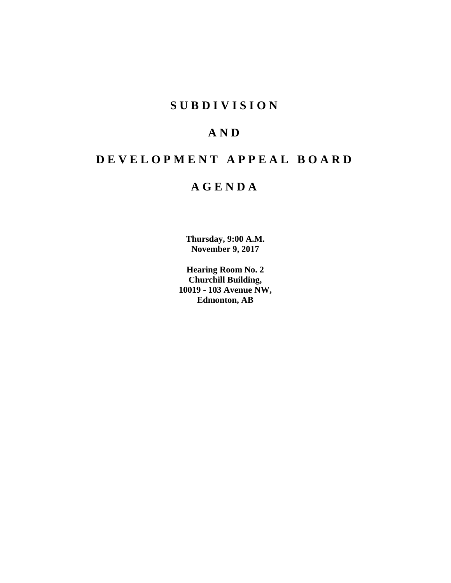## **SUBDIVISION**

# **AND**

# **DEVELOPMENT APPEAL BOARD**

## **AGENDA**

**Thursday, 9:00 A.M. November 9, 2017**

**Hearing Room No. 2 Churchill Building, 10019 - 103 Avenue NW, Edmonton, AB**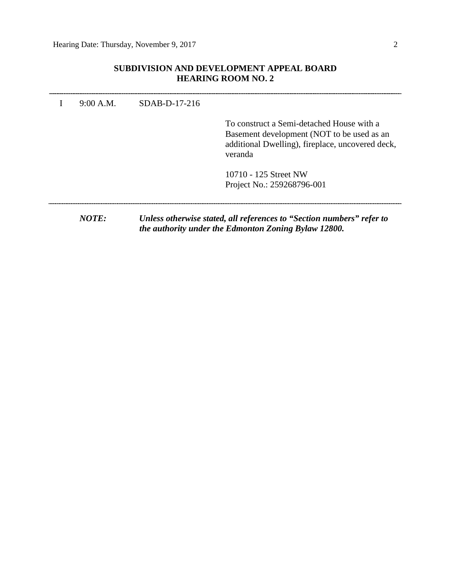## **SUBDIVISION AND DEVELOPMENT APPEAL BOARD HEARING ROOM NO. 2**

| 9:00 A.M. | $SDAB-D-17-216$ | To construct a Semi-detached House with a                                                                                     |
|-----------|-----------------|-------------------------------------------------------------------------------------------------------------------------------|
|           |                 | Basement development (NOT to be used as an<br>additional Dwelling), fireplace, uncovered deck,<br>veranda                     |
|           |                 | 10710 - 125 Street NW<br>Project No.: 259268796-001                                                                           |
| NOTE:     |                 | Unless otherwise stated, all references to "Section numbers" refer to<br>the authority under the Edmonton Zoning Bylaw 12800. |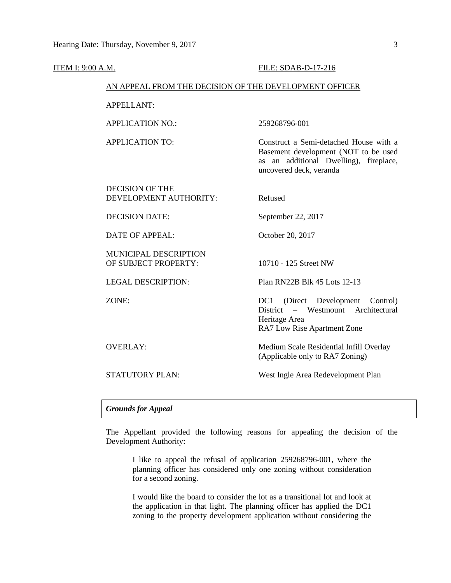| <b>ITEM I: 9:00 A.M.</b> |                                                        | FILE: SDAB-D-17-216                                                                                                                                 |  |  |  |  |  |
|--------------------------|--------------------------------------------------------|-----------------------------------------------------------------------------------------------------------------------------------------------------|--|--|--|--|--|
|                          | AN APPEAL FROM THE DECISION OF THE DEVELOPMENT OFFICER |                                                                                                                                                     |  |  |  |  |  |
|                          | <b>APPELLANT:</b>                                      |                                                                                                                                                     |  |  |  |  |  |
|                          | <b>APPLICATION NO.:</b>                                | 259268796-001                                                                                                                                       |  |  |  |  |  |
|                          | <b>APPLICATION TO:</b>                                 | Construct a Semi-detached House with a<br>Basement development (NOT to be used<br>as an additional Dwelling), fireplace,<br>uncovered deck, veranda |  |  |  |  |  |
|                          | <b>DECISION OF THE</b><br>DEVELOPMENT AUTHORITY:       | Refused                                                                                                                                             |  |  |  |  |  |
|                          | <b>DECISION DATE:</b>                                  | September 22, 2017                                                                                                                                  |  |  |  |  |  |
|                          | <b>DATE OF APPEAL:</b>                                 | October 20, 2017                                                                                                                                    |  |  |  |  |  |
|                          | MUNICIPAL DESCRIPTION<br>OF SUBJECT PROPERTY:          | 10710 - 125 Street NW                                                                                                                               |  |  |  |  |  |
|                          | <b>LEGAL DESCRIPTION:</b>                              | Plan RN22B Blk 45 Lots 12-13                                                                                                                        |  |  |  |  |  |
|                          | ZONE:                                                  | (Direct Development<br>DC1<br>Control)<br>- Westmount Architectural<br>District<br>Heritage Area<br>RA7 Low Rise Apartment Zone                     |  |  |  |  |  |
|                          | <b>OVERLAY:</b>                                        | Medium Scale Residential Infill Overlay<br>(Applicable only to RA7 Zoning)                                                                          |  |  |  |  |  |
|                          | <b>STATUTORY PLAN:</b>                                 | West Ingle Area Redevelopment Plan                                                                                                                  |  |  |  |  |  |
|                          |                                                        |                                                                                                                                                     |  |  |  |  |  |

### *Grounds for Appeal*

The Appellant provided the following reasons for appealing the decision of the Development Authority:

I like to appeal the refusal of application 259268796-001, where the planning officer has considered only one zoning without consideration for a second zoning.

I would like the board to consider the lot as a transitional lot and look at the application in that light. The planning officer has applied the DC1 zoning to the property development application without considering the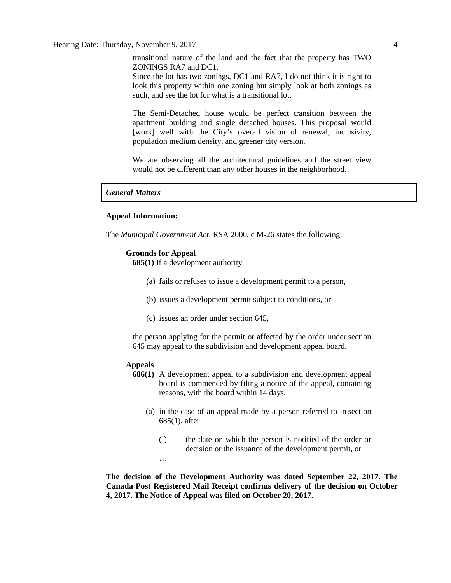Hearing Date: Thursday, November 9, 2017 4

transitional nature of the land and the fact that the property has TWO ZONINGS RA7 and DC1.

Since the lot has two zonings, DC1 and RA7, I do not think it is right to look this property within one zoning but simply look at both zonings as such, and see the lot for what is a transitional lot.

The Semi-Detached house would be perfect transition between the apartment building and single detached houses. This proposal would [work] well with the City's overall vision of renewal, inclusivity, population medium density, and greener city version.

We are observing all the architectural guidelines and the street view would not be different than any other houses in the neighborhood.

#### *General Matters*

#### **Appeal Information:**

The *Municipal Government Act*, RSA 2000, c M-26 states the following:

#### **Grounds for Appeal**

**685(1)** If a development authority

- (a) fails or refuses to issue a development permit to a person,
- (b) issues a development permit subject to conditions, or
- (c) issues an order under section 645,

the person applying for the permit or affected by the order under section 645 may appeal to the subdivision and development appeal board.

### **Appeals**

- **686(1)** A development appeal to a subdivision and development appeal board is commenced by filing a notice of the appeal, containing reasons, with the board within 14 days,
	- (a) in the case of an appeal made by a person referred to in section 685(1), after
		- (i) the date on which the person is notified of the order or decision or the issuance of the development permit, or

…

**The decision of the Development Authority was dated September 22, 2017. The Canada Post Registered Mail Receipt confirms delivery of the decision on October 4, 2017. The Notice of Appeal was filed on October 20, 2017.**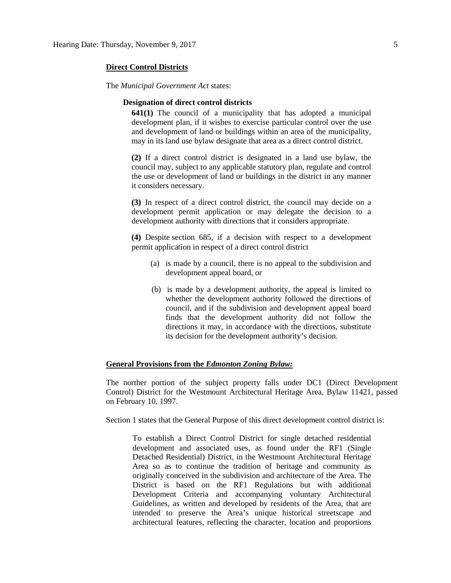#### **Direct Control Districts**

The *Municipal Government Act* states:

#### **Designation of direct control districts**

**641(1)** The council of a municipality that has adopted a municipal development plan, if it wishes to exercise particular control over the use and development of land or buildings within an area of the municipality, may in its land use bylaw designate that area as a direct control district.

**(2)** If a direct control district is designated in a land use bylaw, the council may, subject to any applicable statutory plan, regulate and control the use or development of land or buildings in the district in any manner it considers necessary.

**(3)** In respect of a direct control district, the council may decide on a development permit application or may delegate the decision to a development authority with directions that it considers appropriate.

**(4)** Despite section 685, if a decision with respect to a development permit application in respect of a direct control district

- (a) is made by a council, there is no appeal to the subdivision and development appeal board, or
- (b) is made by a development authority, the appeal is limited to whether the development authority followed the directions of council, and if the subdivision and development appeal board finds that the development authority did not follow the directions it may, in accordance with the directions, substitute its decision for the development authority's decision.

### **General Provisions from the** *Edmonton Zoning Bylaw:*

The norther portion of the subject property falls under DC1 (Direct Development Control) District for the Westmount Architectural Heritage Area, Bylaw 11421, passed on February 10, 1997.

Section 1 states that the General Purpose of this direct development control district is:

To establish a Direct Control District for single detached residential development and associated uses, as found under the RF1 (Single Detached Residential) District, in the Westmount Architectural Heritage Area so as to continue the tradition of heritage and community as originally conceived in the subdivision and architecture of the Area. The District is based on the RF1 Regulations but with additional Development Criteria and accompanying voluntary Architectural Guidelines, as written and developed by residents of the Area, that are intended to preserve the Area's unique historical streetscape and architectural features, reflecting the character, location and proportions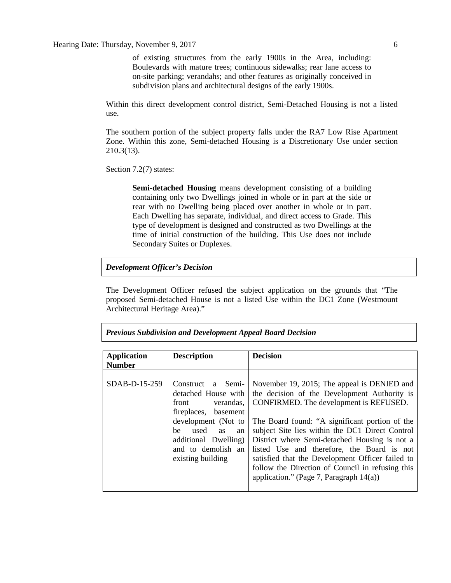#### Hearing Date: Thursday, November 9, 2017 6

of existing structures from the early 1900s in the Area, including: Boulevards with mature trees; continuous sidewalks; rear lane access to on-site parking; verandahs; and other features as originally conceived in subdivision plans and architectural designs of the early 1900s.

Within this direct development control district, Semi-Detached Housing is not a listed use.

The southern portion of the subject property falls under the RA7 Low Rise Apartment Zone. Within this zone, Semi-detached Housing is a Discretionary Use under section 210.3(13).

Section 7.2(7) states:

**Semi-detached Housing** means development consisting of a building containing only two Dwellings joined in whole or in part at the side or rear with no Dwelling being placed over another in whole or in part. Each Dwelling has separate, individual, and direct access to Grade. This type of development is designed and constructed as two Dwellings at the time of initial construction of the building. This Use does not include Secondary Suites or Duplexes.

### *Development Officer's Decision*

The Development Officer refused the subject application on the grounds that "The proposed Semi-detached House is not a listed Use within the DC1 Zone (Westmount Architectural Heritage Area)."

| <b>Application</b> | <b>Description</b>                                                                                                                                                                                                   | <b>Decision</b>                                                                                                                                                                                                                                                                                                                                                                                                                                                                                 |  |  |  |  |  |
|--------------------|----------------------------------------------------------------------------------------------------------------------------------------------------------------------------------------------------------------------|-------------------------------------------------------------------------------------------------------------------------------------------------------------------------------------------------------------------------------------------------------------------------------------------------------------------------------------------------------------------------------------------------------------------------------------------------------------------------------------------------|--|--|--|--|--|
| <b>Number</b>      |                                                                                                                                                                                                                      |                                                                                                                                                                                                                                                                                                                                                                                                                                                                                                 |  |  |  |  |  |
| SDAB-D-15-259      | Construct a Semi-<br>detached House with<br>verandas,<br>front<br>fireplaces,<br>basement<br>development (Not to<br>be<br>used<br><b>as</b><br>an<br>additional Dwelling)<br>and to demolish an<br>existing building | November 19, 2015; The appeal is DENIED and<br>the decision of the Development Authority is<br>CONFIRMED. The development is REFUSED.<br>The Board found: "A significant portion of the<br>subject Site lies within the DC1 Direct Control<br>District where Semi-detached Housing is not a<br>listed Use and therefore, the Board is not<br>satisfied that the Development Officer failed to<br>follow the Direction of Council in refusing this<br>application." (Page 7, Paragraph $14(a)$ ) |  |  |  |  |  |

*Previous Subdivision and Development Appeal Board Decision*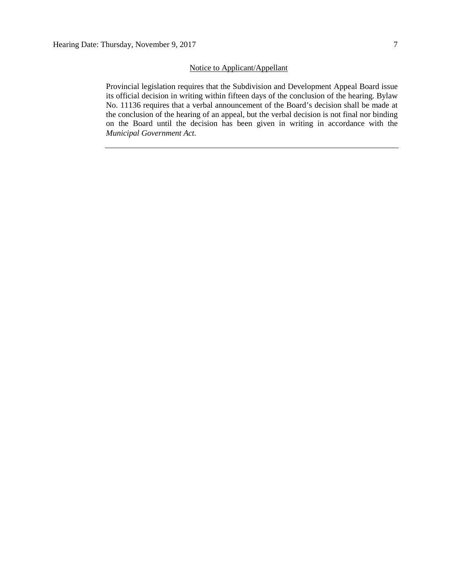## Notice to Applicant/Appellant

Provincial legislation requires that the Subdivision and Development Appeal Board issue its official decision in writing within fifteen days of the conclusion of the hearing. Bylaw No. 11136 requires that a verbal announcement of the Board's decision shall be made at the conclusion of the hearing of an appeal, but the verbal decision is not final nor binding on the Board until the decision has been given in writing in accordance with the *Municipal Government Act.*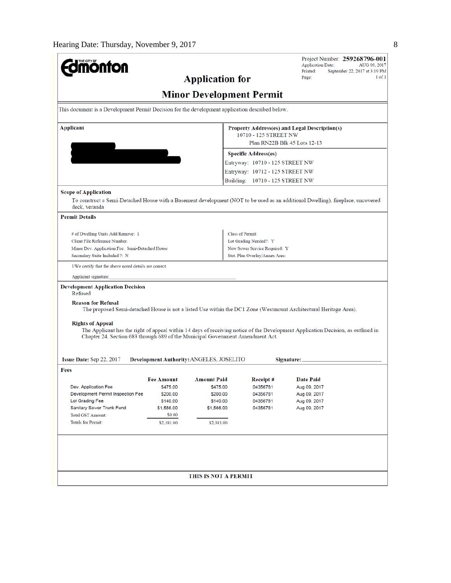| <b>mönton</b>                                                                                                                                                                                                                                                                                                                       |                        |                             |                                                                        | <b>Application Date:</b><br>Printed:                                                                              | Project Number: 259268796-001<br>AUG 09, 2017<br>September 22, 2017 at 3:19 PM |  |  |  |  |  |  |
|-------------------------------------------------------------------------------------------------------------------------------------------------------------------------------------------------------------------------------------------------------------------------------------------------------------------------------------|------------------------|-----------------------------|------------------------------------------------------------------------|-------------------------------------------------------------------------------------------------------------------|--------------------------------------------------------------------------------|--|--|--|--|--|--|
|                                                                                                                                                                                                                                                                                                                                     | Page:                  | $1$ of $1$                  |                                                                        |                                                                                                                   |                                                                                |  |  |  |  |  |  |
| <b>Minor Development Permit</b>                                                                                                                                                                                                                                                                                                     |                        |                             |                                                                        |                                                                                                                   |                                                                                |  |  |  |  |  |  |
| This document is a Development Permit Decision for the development application described below.                                                                                                                                                                                                                                     |                        |                             |                                                                        |                                                                                                                   |                                                                                |  |  |  |  |  |  |
| Applicant                                                                                                                                                                                                                                                                                                                           |                        |                             | Property Address(es) and Legal Description(s)<br>10710 - 125 STREET NW |                                                                                                                   |                                                                                |  |  |  |  |  |  |
|                                                                                                                                                                                                                                                                                                                                     |                        |                             | Plan RN22B Blk 45 Lots 12-13                                           |                                                                                                                   |                                                                                |  |  |  |  |  |  |
|                                                                                                                                                                                                                                                                                                                                     |                        |                             | <b>Specific Address(es)</b>                                            |                                                                                                                   |                                                                                |  |  |  |  |  |  |
|                                                                                                                                                                                                                                                                                                                                     |                        |                             | Entryway: 10710 - 125 STREET NW                                        |                                                                                                                   |                                                                                |  |  |  |  |  |  |
|                                                                                                                                                                                                                                                                                                                                     |                        |                             | Entryway: 10712 - 125 STREET NW                                        |                                                                                                                   |                                                                                |  |  |  |  |  |  |
|                                                                                                                                                                                                                                                                                                                                     |                        |                             | Building: 10710 - 125 STREET NW                                        |                                                                                                                   |                                                                                |  |  |  |  |  |  |
| <b>Scope of Application</b><br>To construct a Semi-Detached House with a Basement development (NOT to be used as an additional Dwelling), fireplace, uncovered<br>deck, veranda                                                                                                                                                     |                        |                             |                                                                        |                                                                                                                   |                                                                                |  |  |  |  |  |  |
| <b>Permit Details</b>                                                                                                                                                                                                                                                                                                               |                        |                             |                                                                        |                                                                                                                   |                                                                                |  |  |  |  |  |  |
| # of Dwelling Units Add/Remove: 1                                                                                                                                                                                                                                                                                                   |                        |                             | <b>Class of Permit:</b>                                                |                                                                                                                   |                                                                                |  |  |  |  |  |  |
| Client File Reference Number:                                                                                                                                                                                                                                                                                                       |                        |                             | Lot Grading Needed?: Y                                                 |                                                                                                                   |                                                                                |  |  |  |  |  |  |
| Minor Dev. Application Fee: Semi-Detached House                                                                                                                                                                                                                                                                                     |                        |                             | New Sewer Service Required: Y                                          |                                                                                                                   |                                                                                |  |  |  |  |  |  |
| Secondary Suite Included ?: N                                                                                                                                                                                                                                                                                                       |                        |                             | Stat. Plan Overlay/Annex Area:                                         |                                                                                                                   |                                                                                |  |  |  |  |  |  |
| I/We certify that the above noted details are correct.                                                                                                                                                                                                                                                                              |                        |                             |                                                                        |                                                                                                                   |                                                                                |  |  |  |  |  |  |
| Applicant signature:                                                                                                                                                                                                                                                                                                                |                        |                             |                                                                        |                                                                                                                   |                                                                                |  |  |  |  |  |  |
| <b>Development Application Decision</b><br>Refused                                                                                                                                                                                                                                                                                  |                        |                             |                                                                        |                                                                                                                   |                                                                                |  |  |  |  |  |  |
| <b>Reason for Refusal</b>                                                                                                                                                                                                                                                                                                           |                        |                             |                                                                        | The proposed Semi-detached House is not a listed Use within the DC1 Zone (Westmount Architectural Heritage Area). |                                                                                |  |  |  |  |  |  |
| <b>Rights of Appeal</b><br>The Applicant has the right of appeal within 14 days of receiving notice of the Development Application Decision, as outlined in<br>Chapter 24, Section 683 through 689 of the Municipal Government Amendment Act.<br>Issue Date: Sep 22, 2017<br>Development Authority: ANGELES, JOSELITO<br>Signature: |                        |                             |                                                                        |                                                                                                                   |                                                                                |  |  |  |  |  |  |
| Fees                                                                                                                                                                                                                                                                                                                                |                        |                             |                                                                        |                                                                                                                   |                                                                                |  |  |  |  |  |  |
|                                                                                                                                                                                                                                                                                                                                     | <b>Fee Amount</b>      | <b>Amount Paid</b>          | Receipt#                                                               | <b>Date Paid</b>                                                                                                  |                                                                                |  |  |  |  |  |  |
| Dev. Application Fee                                                                                                                                                                                                                                                                                                                | \$475.00               | \$475.00                    | 04356781                                                               | Aug 09, 2017                                                                                                      |                                                                                |  |  |  |  |  |  |
| Development Permit Inspection Fee<br>\$200.00                                                                                                                                                                                                                                                                                       |                        | \$200.00                    | 04356781                                                               | Aug 09, 2017                                                                                                      |                                                                                |  |  |  |  |  |  |
| Lot Grading Fee<br>Sanitary Sewer Trunk Fund                                                                                                                                                                                                                                                                                        | \$140.00<br>\$1,566.00 | \$140.00<br>\$1,566.00      | 04356781<br>04356781                                                   | Aug 09, 2017<br>Aug 09, 2017                                                                                      |                                                                                |  |  |  |  |  |  |
| <b>Total GST Amount:</b>                                                                                                                                                                                                                                                                                                            | \$0.00                 |                             |                                                                        |                                                                                                                   |                                                                                |  |  |  |  |  |  |
| <b>Totals for Permit:</b>                                                                                                                                                                                                                                                                                                           | \$2,381.00             | \$2,381.00                  |                                                                        |                                                                                                                   |                                                                                |  |  |  |  |  |  |
|                                                                                                                                                                                                                                                                                                                                     |                        |                             |                                                                        |                                                                                                                   |                                                                                |  |  |  |  |  |  |
|                                                                                                                                                                                                                                                                                                                                     |                        |                             |                                                                        |                                                                                                                   |                                                                                |  |  |  |  |  |  |
|                                                                                                                                                                                                                                                                                                                                     |                        |                             |                                                                        |                                                                                                                   |                                                                                |  |  |  |  |  |  |
|                                                                                                                                                                                                                                                                                                                                     |                        | <b>THIS IS NOT A PERMIT</b> |                                                                        |                                                                                                                   |                                                                                |  |  |  |  |  |  |